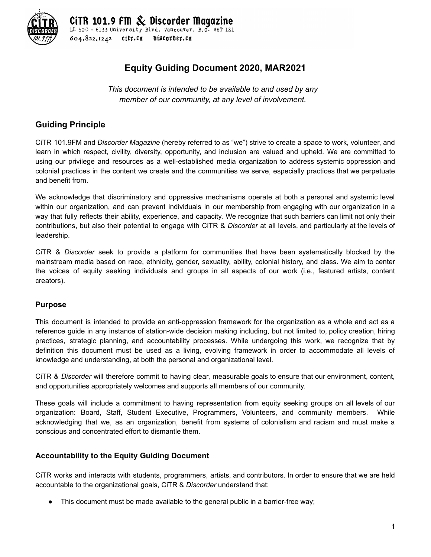

<sup>.</sup> Discorder Maaazine LL 500 - 6133 University Blvd. Vancouver, B.C. V6T 1Z1  $604.822.1242$ citr.ca discorder.ca

# **Equity Guiding Document 2020, MAR2021**

*This document is intended to be available to and used by any member of our community, at any level of involvement.*

## **Guiding Principle**

CiTR 101.9FM and *Discorder Magazine* (hereby referred to as "we") strive to create a space to work, volunteer, and learn in which respect, civility, diversity, opportunity, and inclusion are valued and upheld. We are committed to using our privilege and resources as a well-established media organization to address systemic oppression and colonial practices in the content we create and the communities we serve, especially practices that we perpetuate and benefit from.

We acknowledge that discriminatory and oppressive mechanisms operate at both a personal and systemic level within our organization, and can prevent individuals in our membership from engaging with our organization in a way that fully reflects their ability, experience, and capacity. We recognize that such barriers can limit not only their contributions, but also their potential to engage with CiTR & *Discorder* at all levels, and particularly at the levels of leadership.

CiTR & *Discorder* seek to provide a platform for communities that have been systematically blocked by the mainstream media based on race, ethnicity, gender, sexuality, ability, colonial history, and class. We aim to center the voices of equity seeking individuals and groups in all aspects of our work (i.e., featured artists, content creators).

## **Purpose**

This document is intended to provide an anti-oppression framework for the organization as a whole and act as a reference guide in any instance of station-wide decision making including, but not limited to, policy creation, hiring practices, strategic planning, and accountability processes. While undergoing this work, we recognize that by definition this document must be used as a living, evolving framework in order to accommodate all levels of knowledge and understanding, at both the personal and organizational level.

CiTR & *Discorder* will therefore commit to having clear, measurable goals to ensure that our environment, content, and opportunities appropriately welcomes and supports all members of our community.

These goals will include a commitment to having representation from equity seeking groups on all levels of our organization: Board, Staff, Student Executive, Programmers, Volunteers, and community members. While acknowledging that we, as an organization, benefit from systems of colonialism and racism and must make a conscious and concentrated effort to dismantle them.

## **Accountability to the Equity Guiding Document**

CiTR works and interacts with students, programmers, artists, and contributors. In order to ensure that we are held accountable to the organizational goals, CiTR & *Discorder* understand that:

This document must be made available to the general public in a barrier-free way;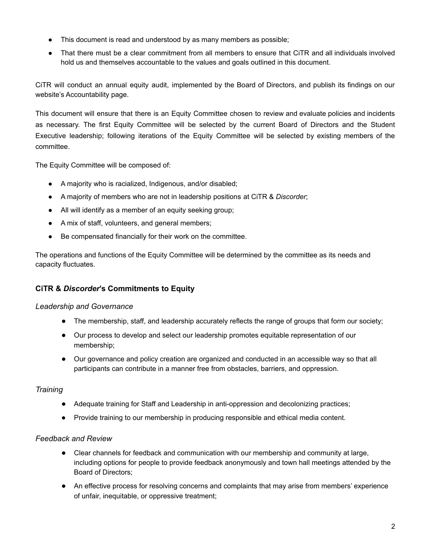- This document is read and understood by as many members as possible;
- That there must be a clear commitment from all members to ensure that CiTR and all individuals involved hold us and themselves accountable to the values and goals outlined in this document.

CiTR will conduct an annual equity audit, implemented by the Board of Directors, and publish its findings on our website's Accountability page.

This document will ensure that there is an Equity Committee chosen to review and evaluate policies and incidents as necessary. The first Equity Committee will be selected by the current Board of Directors and the Student Executive leadership; following iterations of the Equity Committee will be selected by existing members of the committee.

The Equity Committee will be composed of:

- A majority who is racialized, Indigenous, and/or disabled;
- A majority of members who are not in leadership positions at CiTR & *Discorder*;
- All will identify as a member of an equity seeking group;
- A mix of staff, volunteers, and general members;
- Be compensated financially for their work on the committee.

The operations and functions of the Equity Committee will be determined by the committee as its needs and capacity fluctuates.

## **CiTR &** *Discorder***'s Commitments to Equity**

#### *Leadership and Governance*

- The membership, staff, and leadership accurately reflects the range of groups that form our society;
- Our process to develop and select our leadership promotes equitable representation of our membership;
- Our governance and policy creation are organized and conducted in an accessible way so that all participants can contribute in a manner free from obstacles, barriers, and oppression.

## *Training*

- Adequate training for Staff and Leadership in anti-oppression and decolonizing practices;
- Provide training to our membership in producing responsible and ethical media content.

#### *Feedback and Review*

- Clear channels for feedback and communication with our membership and community at large, including options for people to provide feedback anonymously and town hall meetings attended by the Board of Directors;
- An effective process for resolving concerns and complaints that may arise from members' experience of unfair, inequitable, or oppressive treatment;